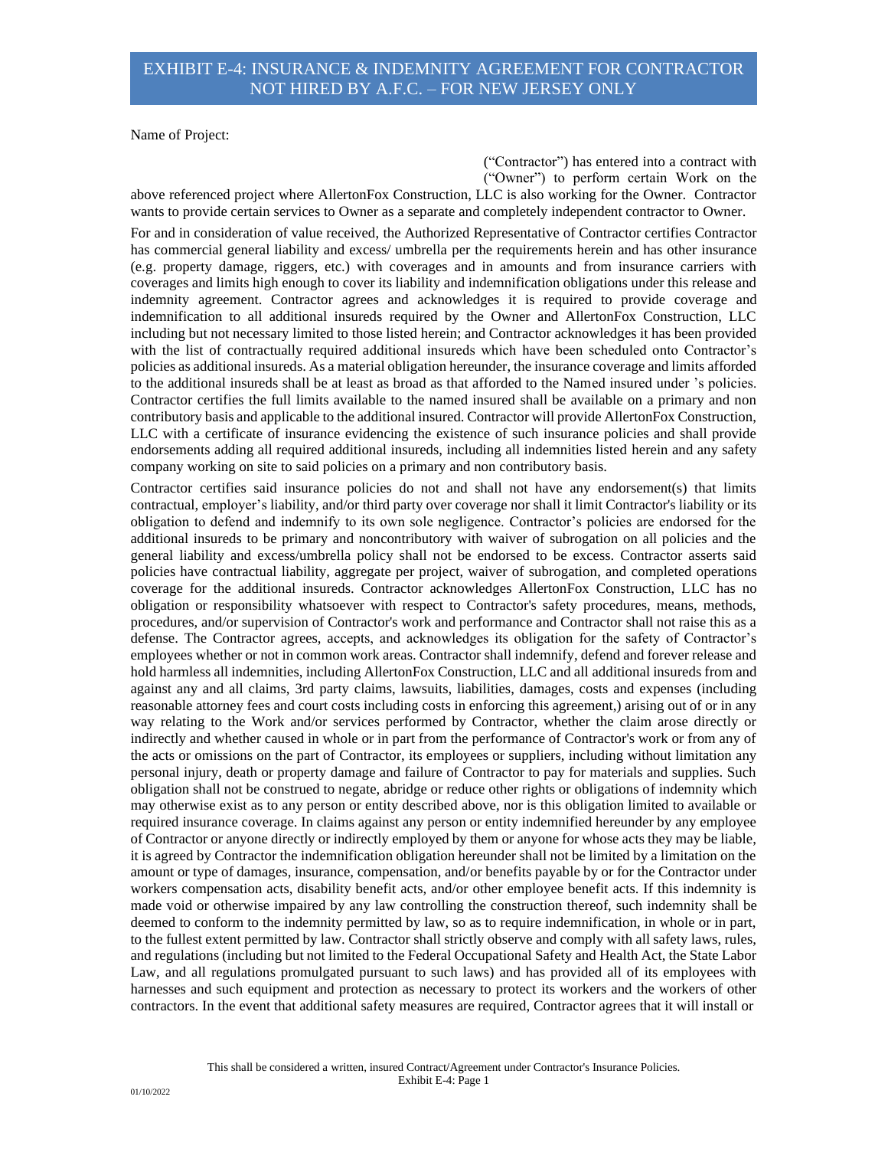Name of Project:

 ("Contractor") has entered into a contract with ("Owner") to perform certain Work on the

above referenced project where AllertonFox Construction, LLC is also working for the Owner. Contractor wants to provide certain services to Owner as a separate and completely independent contractor to Owner.

For and in consideration of value received, the Authorized Representative of Contractor certifies Contractor has commercial general liability and excess/ umbrella per the requirements herein and has other insurance (e.g. property damage, riggers, etc.) with coverages and in amounts and from insurance carriers with coverages and limits high enough to cover its liability and indemnification obligations under this release and indemnity agreement. Contractor agrees and acknowledges it is required to provide coverage and indemnification to all additional insureds required by the Owner and AllertonFox Construction, LLC including but not necessary limited to those listed herein; and Contractor acknowledges it has been provided with the list of contractually required additional insureds which have been scheduled onto Contractor's policies as additional insureds. As a material obligation hereunder, the insurance coverage and limits afforded to the additional insureds shall be at least as broad as that afforded to the Named insured under 's policies. Contractor certifies the full limits available to the named insured shall be available on a primary and non contributory basis and applicable to the additional insured. Contractor will provide AllertonFox Construction, LLC with a certificate of insurance evidencing the existence of such insurance policies and shall provide endorsements adding all required additional insureds, including all indemnities listed herein and any safety company working on site to said policies on a primary and non contributory basis.

Contractor certifies said insurance policies do not and shall not have any endorsement(s) that limits contractual, employer's liability, and/or third party over coverage nor shall it limit Contractor's liability or its obligation to defend and indemnify to its own sole negligence. Contractor's policies are endorsed for the additional insureds to be primary and noncontributory with waiver of subrogation on all policies and the general liability and excess/umbrella policy shall not be endorsed to be excess. Contractor asserts said policies have contractual liability, aggregate per project, waiver of subrogation, and completed operations coverage for the additional insureds. Contractor acknowledges AllertonFox Construction, LLC has no obligation or responsibility whatsoever with respect to Contractor's safety procedures, means, methods, procedures, and/or supervision of Contractor's work and performance and Contractor shall not raise this as a defense. The Contractor agrees, accepts, and acknowledges its obligation for the safety of Contractor's employees whether or not in common work areas. Contractor shall indemnify, defend and forever release and hold harmless all indemnities, including AllertonFox Construction, LLC and all additional insureds from and against any and all claims, 3rd party claims, lawsuits, liabilities, damages, costs and expenses (including reasonable attorney fees and court costs including costs in enforcing this agreement,) arising out of or in any way relating to the Work and/or services performed by Contractor, whether the claim arose directly or indirectly and whether caused in whole or in part from the performance of Contractor's work or from any of the acts or omissions on the part of Contractor, its employees or suppliers, including without limitation any personal injury, death or property damage and failure of Contractor to pay for materials and supplies. Such obligation shall not be construed to negate, abridge or reduce other rights or obligations of indemnity which may otherwise exist as to any person or entity described above, nor is this obligation limited to available or required insurance coverage. In claims against any person or entity indemnified hereunder by any employee of Contractor or anyone directly or indirectly employed by them or anyone for whose acts they may be liable, it is agreed by Contractor the indemnification obligation hereunder shall not be limited by a limitation on the amount or type of damages, insurance, compensation, and/or benefits payable by or for the Contractor under workers compensation acts, disability benefit acts, and/or other employee benefit acts. If this indemnity is made void or otherwise impaired by any law controlling the construction thereof, such indemnity shall be deemed to conform to the indemnity permitted by law, so as to require indemnification, in whole or in part, to the fullest extent permitted by law. Contractor shall strictly observe and comply with all safety laws, rules, and regulations (including but not limited to the Federal Occupational Safety and Health Act, the State Labor Law, and all regulations promulgated pursuant to such laws) and has provided all of its employees with harnesses and such equipment and protection as necessary to protect its workers and the workers of other contractors. In the event that additional safety measures are required, Contractor agrees that it will install or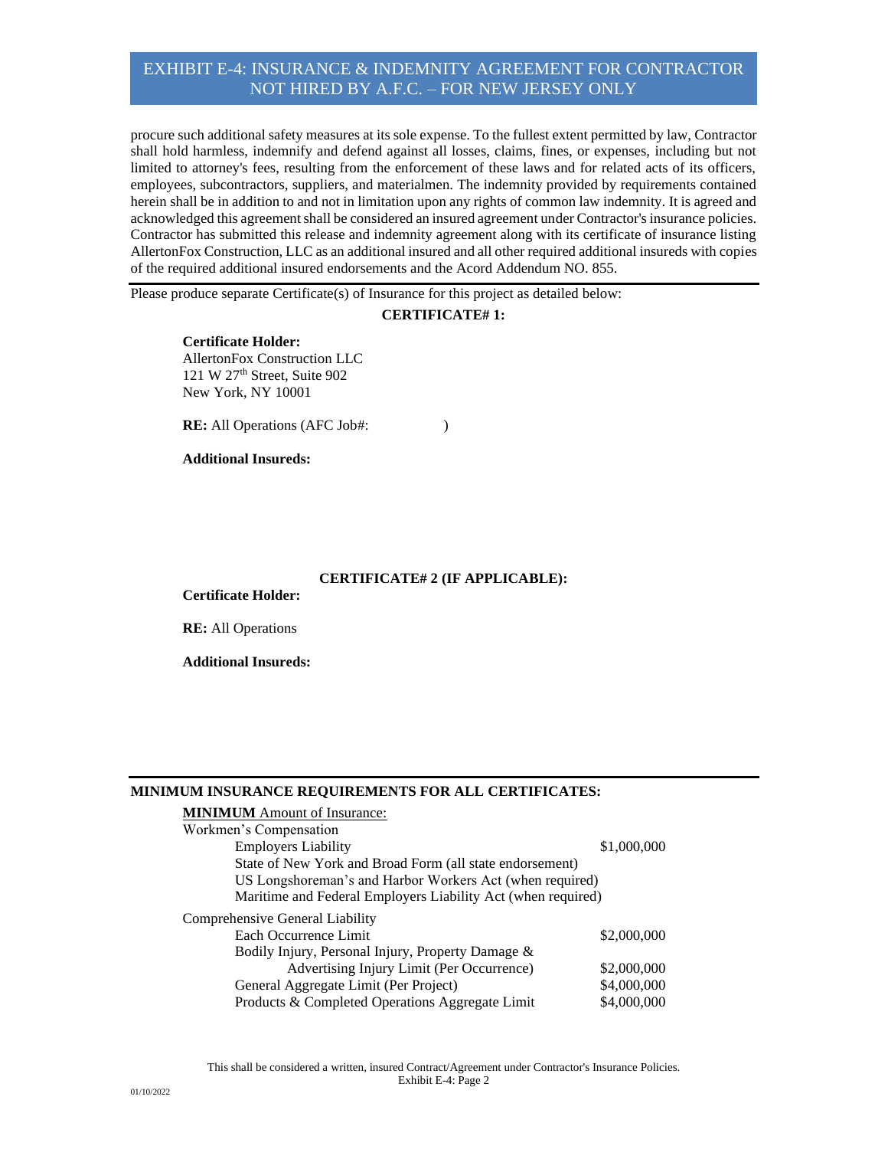procure such additional safety measures at its sole expense. To the fullest extent permitted by law, Contractor shall hold harmless, indemnify and defend against all losses, claims, fines, or expenses, including but not limited to attorney's fees, resulting from the enforcement of these laws and for related acts of its officers, employees, subcontractors, suppliers, and materialmen. The indemnity provided by requirements contained herein shall be in addition to and not in limitation upon any rights of common law indemnity. It is agreed and acknowledged this agreement shall be considered an insured agreement under Contractor's insurance policies. Contractor has submitted this release and indemnity agreement along with its certificate of insurance listing AllertonFox Construction, LLC as an additional insured and all other required additional insureds with copies of the required additional insured endorsements and the Acord Addendum NO. 855.

Please produce separate Certificate(s) of Insurance for this project as detailed below:

### **CERTIFICATE# 1:**

**Certificate Holder:** AllertonFox Construction LLC 121 W 27<sup>th</sup> Street, Suite 902 New York, NY 10001

**RE:** All Operations (AFC Job#: )

#### **Additional Insureds:**

## **CERTIFICATE# 2 (IF APPLICABLE):**

**Certificate Holder:**

**RE:** All Operations

**Additional Insureds:**

#### **MINIMUM INSURANCE REQUIREMENTS FOR ALL CERTIFICATES:**

| <b>MINIMUM</b> Amount of Insurance:                          |             |
|--------------------------------------------------------------|-------------|
| Workmen's Compensation                                       |             |
| <b>Employers Liability</b>                                   | \$1,000,000 |
| State of New York and Broad Form (all state endorsement)     |             |
| US Longshoreman's and Harbor Workers Act (when required)     |             |
| Maritime and Federal Employers Liability Act (when required) |             |
| Comprehensive General Liability                              |             |
| Each Occurrence Limit                                        | \$2,000,000 |
| Bodily Injury, Personal Injury, Property Damage &            |             |
| Advertising Injury Limit (Per Occurrence)                    | \$2,000,000 |
| General Aggregate Limit (Per Project)                        | \$4,000,000 |
| Products & Completed Operations Aggregate Limit              | \$4,000,000 |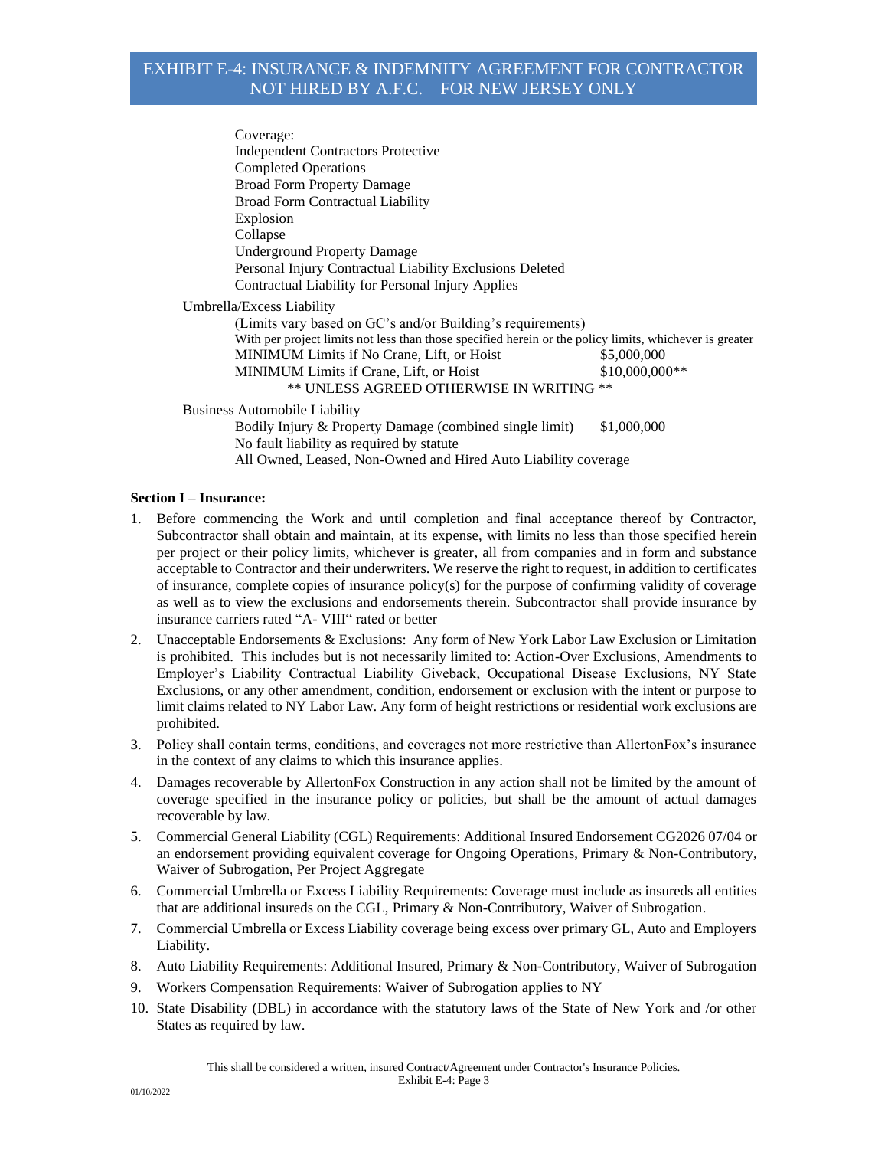Coverage: Independent Contractors Protective Completed Operations Broad Form Property Damage Broad Form Contractual Liability Explosion Collapse Underground Property Damage Personal Injury Contractual Liability Exclusions Deleted Contractual Liability for Personal Injury Applies Umbrella/Excess Liability (Limits vary based on GC's and/or Building's requirements) With per project limits not less than those specified herein or the policy limits, whichever is greater MINIMUM Limits if No Crane, Lift, or Hoist \$5,000,000 MINIMUM Limits if Crane, Lift, or Hoist  $$10,000,000**$ \*\* UNLESS AGREED OTHERWISE IN WRITING \*\* Business Automobile Liability Bodily Injury & Property Damage (combined single limit) \$1,000,000 No fault liability as required by statute

All Owned, Leased, Non-Owned and Hired Auto Liability coverage

## **Section I – Insurance:**

- 1. Before commencing the Work and until completion and final acceptance thereof by Contractor, Subcontractor shall obtain and maintain, at its expense, with limits no less than those specified herein per project or their policy limits, whichever is greater, all from companies and in form and substance acceptable to Contractor and their underwriters. We reserve the right to request, in addition to certificates of insurance, complete copies of insurance policy(s) for the purpose of confirming validity of coverage as well as to view the exclusions and endorsements therein. Subcontractor shall provide insurance by insurance carriers rated "A- VIII" rated or better
- 2. Unacceptable Endorsements & Exclusions: Any form of New York Labor Law Exclusion or Limitation is prohibited. This includes but is not necessarily limited to: Action-Over Exclusions, Amendments to Employer's Liability Contractual Liability Giveback, Occupational Disease Exclusions, NY State Exclusions, or any other amendment, condition, endorsement or exclusion with the intent or purpose to limit claims related to NY Labor Law. Any form of height restrictions or residential work exclusions are prohibited.
- 3. Policy shall contain terms, conditions, and coverages not more restrictive than AllertonFox's insurance in the context of any claims to which this insurance applies.
- 4. Damages recoverable by AllertonFox Construction in any action shall not be limited by the amount of coverage specified in the insurance policy or policies, but shall be the amount of actual damages recoverable by law.
- 5. Commercial General Liability (CGL) Requirements: Additional Insured Endorsement CG2026 07/04 or an endorsement providing equivalent coverage for Ongoing Operations, Primary & Non-Contributory, Waiver of Subrogation, Per Project Aggregate
- 6. Commercial Umbrella or Excess Liability Requirements: Coverage must include as insureds all entities that are additional insureds on the CGL, Primary & Non-Contributory, Waiver of Subrogation.
- 7. Commercial Umbrella or Excess Liability coverage being excess over primary GL, Auto and Employers Liability.
- 8. Auto Liability Requirements: Additional Insured, Primary & Non-Contributory, Waiver of Subrogation
- 9. Workers Compensation Requirements: Waiver of Subrogation applies to NY
- 10. State Disability (DBL) in accordance with the statutory laws of the State of New York and /or other States as required by law.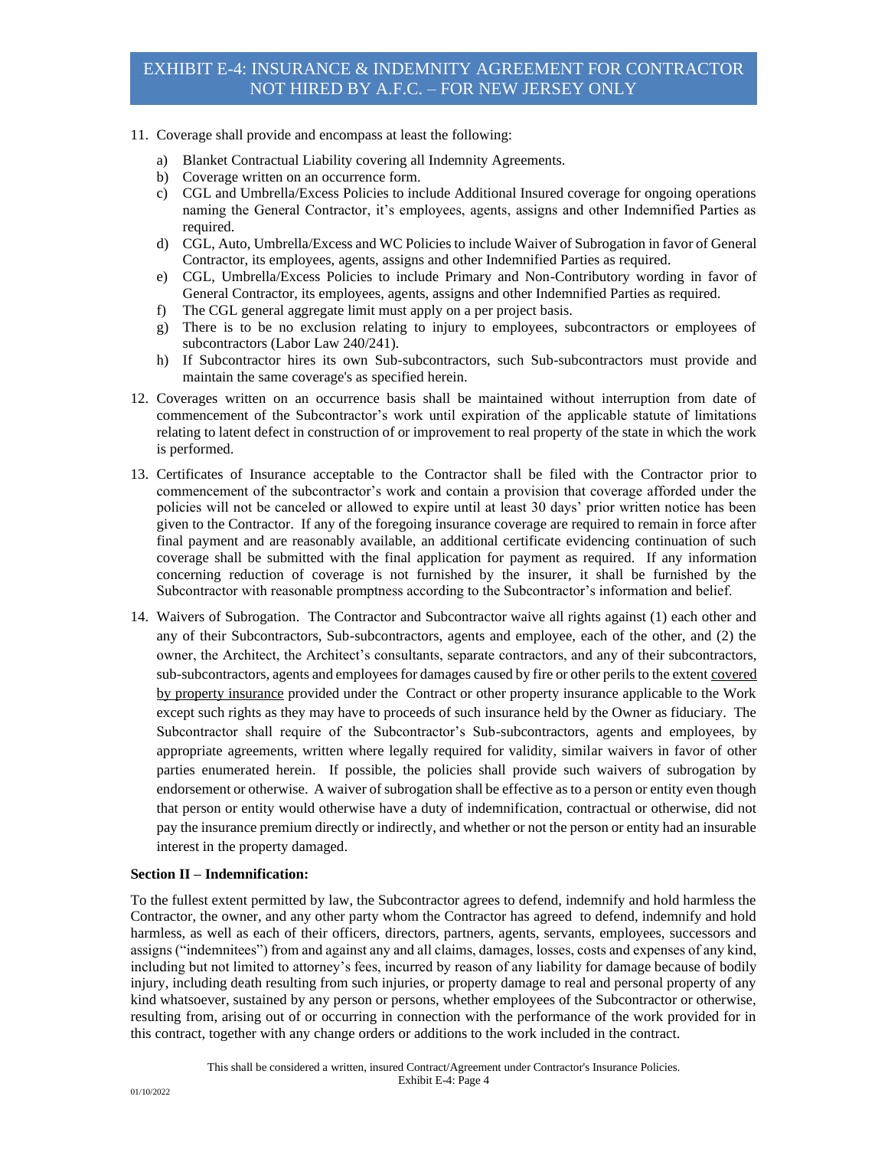- 11. Coverage shall provide and encompass at least the following:
	- a) Blanket Contractual Liability covering all Indemnity Agreements.
	- b) Coverage written on an occurrence form.
	- c) CGL and Umbrella/Excess Policies to include Additional Insured coverage for ongoing operations naming the General Contractor, it's employees, agents, assigns and other Indemnified Parties as required.
	- d) CGL, Auto, Umbrella/Excess and WC Policies to include Waiver of Subrogation in favor of General Contractor, its employees, agents, assigns and other Indemnified Parties as required.
	- e) CGL, Umbrella/Excess Policies to include Primary and Non-Contributory wording in favor of General Contractor, its employees, agents, assigns and other Indemnified Parties as required.
	- f) The CGL general aggregate limit must apply on a per project basis.
	- g) There is to be no exclusion relating to injury to employees, subcontractors or employees of subcontractors (Labor Law 240/241).
	- h) If Subcontractor hires its own Sub-subcontractors, such Sub-subcontractors must provide and maintain the same coverage's as specified herein.
- 12. Coverages written on an occurrence basis shall be maintained without interruption from date of commencement of the Subcontractor's work until expiration of the applicable statute of limitations relating to latent defect in construction of or improvement to real property of the state in which the work is performed.
- 13. Certificates of Insurance acceptable to the Contractor shall be filed with the Contractor prior to commencement of the subcontractor's work and contain a provision that coverage afforded under the policies will not be canceled or allowed to expire until at least 30 days' prior written notice has been given to the Contractor. If any of the foregoing insurance coverage are required to remain in force after final payment and are reasonably available, an additional certificate evidencing continuation of such coverage shall be submitted with the final application for payment as required. If any information concerning reduction of coverage is not furnished by the insurer, it shall be furnished by the Subcontractor with reasonable promptness according to the Subcontractor's information and belief.
- 14. Waivers of Subrogation. The Contractor and Subcontractor waive all rights against (1) each other and any of their Subcontractors, Sub-subcontractors, agents and employee, each of the other, and (2) the owner, the Architect, the Architect's consultants, separate contractors, and any of their subcontractors, sub-subcontractors, agents and employees for damages caused by fire or other perils to the extent covered by property insurance provided under the Contract or other property insurance applicable to the Work except such rights as they may have to proceeds of such insurance held by the Owner as fiduciary. The Subcontractor shall require of the Subcontractor's Sub-subcontractors, agents and employees, by appropriate agreements, written where legally required for validity, similar waivers in favor of other parties enumerated herein. If possible, the policies shall provide such waivers of subrogation by endorsement or otherwise. A waiver of subrogation shall be effective as to a person or entity even though that person or entity would otherwise have a duty of indemnification, contractual or otherwise, did not pay the insurance premium directly or indirectly, and whether or not the person or entity had an insurable interest in the property damaged.

### **Section II – Indemnification:**

To the fullest extent permitted by law, the Subcontractor agrees to defend, indemnify and hold harmless the Contractor, the owner, and any other party whom the Contractor has agreed to defend, indemnify and hold harmless, as well as each of their officers, directors, partners, agents, servants, employees, successors and assigns ("indemnitees") from and against any and all claims, damages, losses, costs and expenses of any kind, including but not limited to attorney's fees, incurred by reason of any liability for damage because of bodily injury, including death resulting from such injuries, or property damage to real and personal property of any kind whatsoever, sustained by any person or persons, whether employees of the Subcontractor or otherwise, resulting from, arising out of or occurring in connection with the performance of the work provided for in this contract, together with any change orders or additions to the work included in the contract.